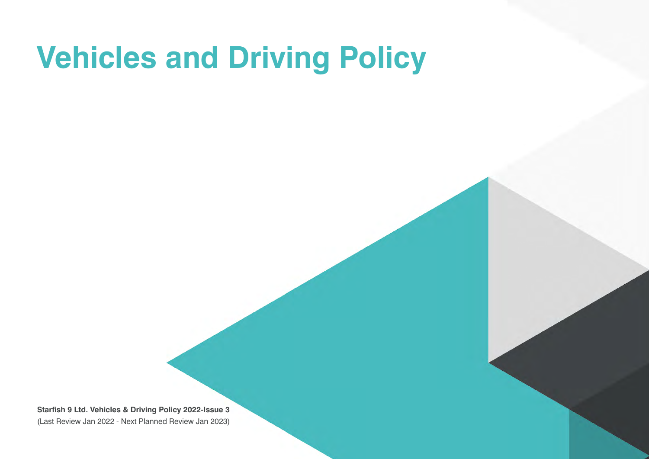# **Vehicles and Driving Policy**

**Starfish 9 Ltd. Vehicles & Driving Policy 2022-Issue 3** (Last Review Jan 2022 - Next Planned Review Jan 2023)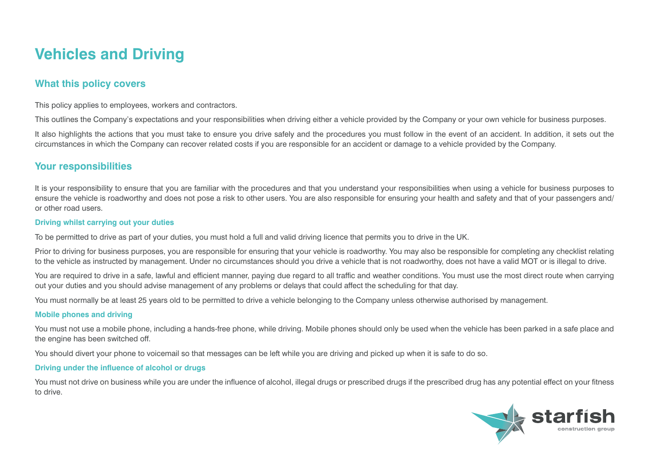# **Vehicles and Driving**

# **What this policy covers**

This policy applies to employees, workers and contractors.

This outlines the Company's expectations and your responsibilities when driving either a vehicle provided by the Company or your own vehicle for business purposes.

It also highlights the actions that you must take to ensure you drive safely and the procedures you must follow in the event of an accident. In addition, it sets out the circumstances in which the Company can recover related costs if you are responsible for an accident or damage to a vehicle provided by the Company.

## **Your responsibilities**

It is your responsibility to ensure that you are familiar with the procedures and that you understand your responsibilities when using a vehicle for business purposes to ensure the vehicle is roadworthy and does not pose a risk to other users. You are also responsible for ensuring your health and safety and that of your passengers and/ or other road users.

#### **Driving whilst carrying out your duties**

To be permitted to drive as part of your duties, you must hold a full and valid driving licence that permits you to drive in the UK.

Prior to driving for business purposes, you are responsible for ensuring that your vehicle is roadworthy. You may also be responsible for completing any checklist relating to the vehicle as instructed by management. Under no circumstances should you drive a vehicle that is not roadworthy, does not have a valid MOT or is illegal to drive.

You are required to drive in a safe, lawful and efficient manner, paying due regard to all traffic and weather conditions. You must use the most direct route when carrying out your duties and you should advise management of any problems or delays that could affect the scheduling for that day.

You must normally be at least 25 years old to be permitted to drive a vehicle belonging to the Company unless otherwise authorised by management.

#### **Mobile phones and driving**

You must not use a mobile phone, including a hands-free phone, while driving. Mobile phones should only be used when the vehicle has been parked in a safe place and the engine has been switched off.

You should divert your phone to voicemail so that messages can be left while you are driving and picked up when it is safe to do so.

#### **Driving under the influence of alcohol or drugs**

You must not drive on business while you are under the influence of alcohol, illegal drugs or prescribed drugs if the prescribed drug has any potential effect on your fitness to drive.

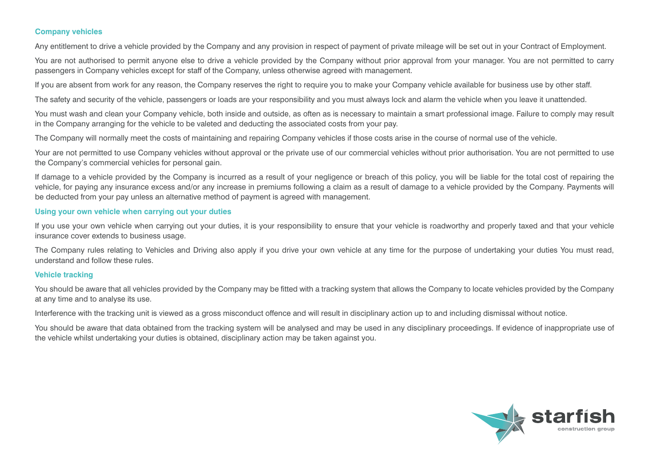#### **Company vehicles**

Any entitlement to drive a vehicle provided by the Company and any provision in respect of payment of private mileage will be set out in your Contract of Employment.

You are not authorised to permit anyone else to drive a vehicle provided by the Company without prior approval from your manager. You are not permitted to carry passengers in Company vehicles except for staff of the Company, unless otherwise agreed with management.

If you are absent from work for any reason, the Company reserves the right to require you to make your Company vehicle available for business use by other staff.

The safety and security of the vehicle, passengers or loads are your responsibility and you must always lock and alarm the vehicle when you leave it unattended.

You must wash and clean your Company vehicle, both inside and outside, as often as is necessary to maintain a smart professional image. Failure to comply may result in the Company arranging for the vehicle to be valeted and deducting the associated costs from your pay.

The Company will normally meet the costs of maintaining and repairing Company vehicles if those costs arise in the course of normal use of the vehicle.

Your are not permitted to use Company vehicles without approval or the private use of our commercial vehicles without prior authorisation. You are not permitted to use the Company's commercial vehicles for personal gain.

If damage to a vehicle provided by the Company is incurred as a result of your negligence or breach of this policy, you will be liable for the total cost of repairing the vehicle, for paying any insurance excess and/or any increase in premiums following a claim as a result of damage to a vehicle provided by the Company. Payments will be deducted from your pay unless an alternative method of payment is agreed with management.

#### **Using your own vehicle when carrying out your duties**

If you use your own vehicle when carrying out your duties, it is your responsibility to ensure that your vehicle is roadworthy and properly taxed and that your vehicle insurance cover extends to business usage.

The Company rules relating to Vehicles and Driving also apply if you drive your own vehicle at any time for the purpose of undertaking your duties You must read, understand and follow these rules.

#### **Vehicle tracking**

You should be aware that all vehicles provided by the Company may be fitted with a tracking system that allows the Company to locate vehicles provided by the Company at any time and to analyse its use.

Interference with the tracking unit is viewed as a gross misconduct offence and will result in disciplinary action up to and including dismissal without notice.

You should be aware that data obtained from the tracking system will be analysed and may be used in any disciplinary proceedings. If evidence of inappropriate use of the vehicle whilst undertaking your duties is obtained, disciplinary action may be taken against you.